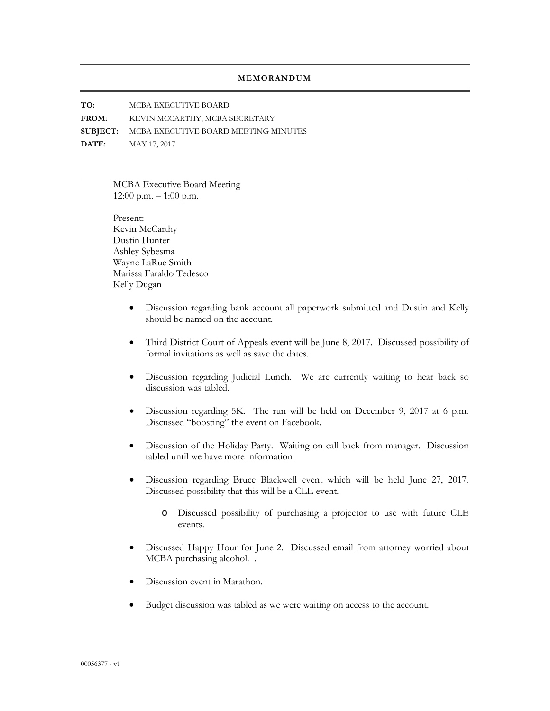## **MEMORANDUM**

**TO:** MCBA EXECUTIVE BOARD **FROM:** KEVIN MCCARTHY, MCBA SECRETARY **SUBJECT:** MCBA EXECUTIVE BOARD MEETING MINUTES **DATE:** MAY 17, 2017

> MCBA Executive Board Meeting 12:00 p.m. – 1:00 p.m.

Present: Kevin McCarthy Dustin Hunter Ashley Sybesma Wayne LaRue Smith Marissa Faraldo Tedesco Kelly Dugan

- Discussion regarding bank account all paperwork submitted and Dustin and Kelly should be named on the account.
- Third District Court of Appeals event will be June 8, 2017. Discussed possibility of formal invitations as well as save the dates.
- Discussion regarding Judicial Lunch. We are currently waiting to hear back so discussion was tabled.
- Discussion regarding 5K. The run will be held on December 9, 2017 at 6 p.m. Discussed "boosting" the event on Facebook.
- Discussion of the Holiday Party. Waiting on call back from manager. Discussion tabled until we have more information
- Discussion regarding Bruce Blackwell event which will be held June 27, 2017. Discussed possibility that this will be a CLE event.
	- o Discussed possibility of purchasing a projector to use with future CLE events.
- Discussed Happy Hour for June 2. Discussed email from attorney worried about MCBA purchasing alcohol. .
- Discussion event in Marathon.
- Budget discussion was tabled as we were waiting on access to the account.